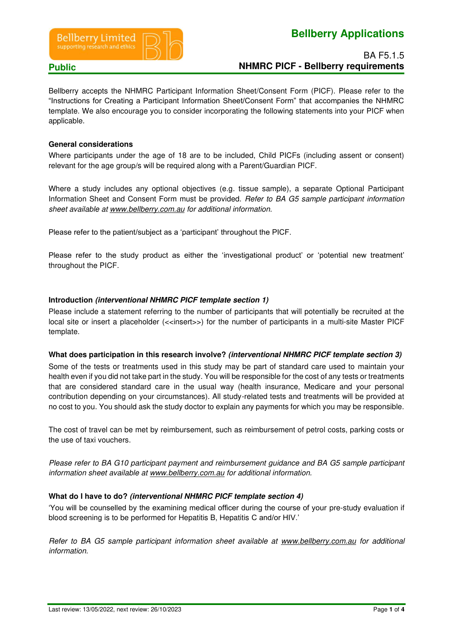



# BA F5.1.5 **Public NHMRC PICF - Bellberry requirements**

Bellberry accepts the NHMRC Participant Information Sheet/Consent Form (PICF). Please refer to the "Instructions for Creating a Participant Information Sheet/Consent Form" that accompanies the NHMRC template. We also encourage you to consider incorporating the following statements into your PICF when applicable.

#### **General considerations**

Where participants under the age of 18 are to be included, Child PICFs (including assent or consent) relevant for the age group/s will be required along with a Parent/Guardian PICF.

Where a study includes any optional objectives (e.g. tissue sample), a separate Optional Participant Information Sheet and Consent Form must be provided. *Refer to BA G5 sample participant information sheet available at [www.bellberry.com.au](http://www.bellberry.com.au/) for additional information.* 

Please refer to the patient/subject as a 'participant' throughout the PICF.

Please refer to the study product as either the 'investigational product' or 'potential new treatment' throughout the PICF.

### **Introduction (interventional NHMRC PICF template section 1)**

Please include a statement referring to the number of participants that will potentially be recruited at the local site or insert a placeholder (<<insert>>) for the number of participants in a multi-site Master PICF template.

#### **What does participation in this research involve? (interventional NHMRC PICF template section 3)**

Some of the tests or treatments used in this study may be part of standard care used to maintain your health even if you did not take part in the study. You will be responsible for the cost of any tests or treatments that are considered standard care in the usual way (health insurance, Medicare and your personal contribution depending on your circumstances). All study-related tests and treatments will be provided at no cost to you. You should ask the study doctor to explain any payments for which you may be responsible.

The cost of travel can be met by reimbursement, such as reimbursement of petrol costs, parking costs or the use of taxi vouchers.

*Please refer to BA G10 participant payment and reimbursement guidance and BA G5 sample participant information sheet available at [www.bellberry.com.au](http://www.bellberry.com.au/) for additional information.* 

#### **What do I have to do? (interventional NHMRC PICF template section 4)**

'You will be counselled by the examining medical officer during the course of your pre-study evaluation if blood screening is to be performed for Hepatitis B, Hepatitis C and/or HIV.'

*Refer to BA G5 sample participant information sheet available at [www.bellberry.com.au](http://www.bellberry.com.au/) for additional information.*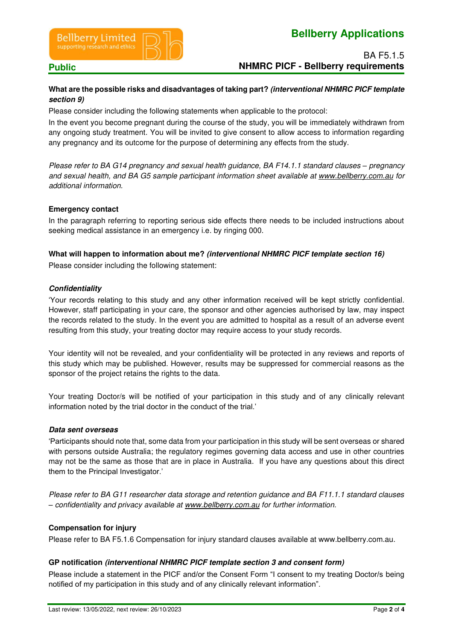



## BA F5.1.5 **Public NHMRC PICF - Bellberry requirements**

### **What are the possible risks and disadvantages of taking part? (interventional NHMRC PICF template section 9)**

Please consider including the following statements when applicable to the protocol:

In the event you become pregnant during the course of the study, you will be immediately withdrawn from any ongoing study treatment. You will be invited to give consent to allow access to information regarding any pregnancy and its outcome for the purpose of determining any effects from the study.

*Please refer to BA G14 pregnancy and sexual health guidance, BA F14.1.1 standard clauses – pregnancy and sexual health, and BA G5 sample participant information sheet available at [www.bellberry.com.au](http://www.bellberry.com.au/) for additional information.* 

### **Emergency contact**

In the paragraph referring to reporting serious side effects there needs to be included instructions about seeking medical assistance in an emergency i.e. by ringing 000.

### **What will happen to information about me? (interventional NHMRC PICF template section 16)**

Please consider including the following statement:

#### **Confidentiality**

'Your records relating to this study and any other information received will be kept strictly confidential. However, staff participating in your care, the sponsor and other agencies authorised by law, may inspect the records related to the study. In the event you are admitted to hospital as a result of an adverse event resulting from this study, your treating doctor may require access to your study records.

Your identity will not be revealed, and your confidentiality will be protected in any reviews and reports of this study which may be published. However, results may be suppressed for commercial reasons as the sponsor of the project retains the rights to the data.

Your treating Doctor/s will be notified of your participation in this study and of any clinically relevant information noted by the trial doctor in the conduct of the trial.'

#### **Data sent overseas**

'Participants should note that, some data from your participation in this study will be sent overseas or shared with persons outside Australia; the regulatory regimes governing data access and use in other countries may not be the same as those that are in place in Australia. If you have any questions about this direct them to the Principal Investigator.'

*Please refer to BA G11 researcher data storage and retention guidance and BA F11.1.1 standard clauses – confidentiality and privacy available at [www.bellberry.com.au](http://www.bellberry.com.au/) for further information.*

#### **Compensation for injury**

Please refer to BA F5.1.6 Compensation for injury standard clauses available at www.bellberry.com.au.

#### **GP notification (interventional NHMRC PICF template section 3 and consent form)**

Please include a statement in the PICF and/or the Consent Form "I consent to my treating Doctor/s being notified of my participation in this study and of any clinically relevant information".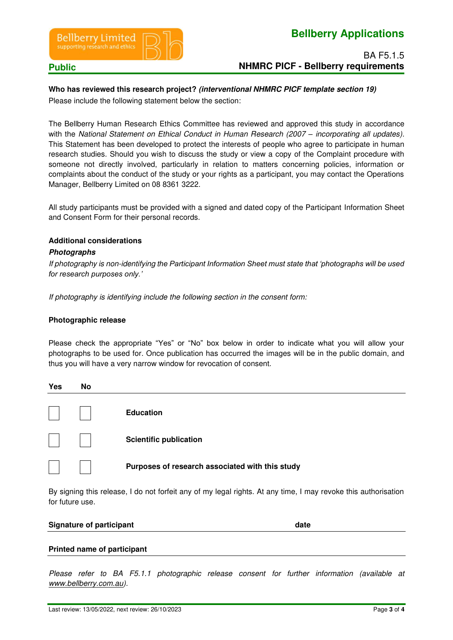

# **Bellberry Applications**

BA F5.1.5 **Public NHMRC PICF - Bellberry requirements** 

### **Who has reviewed this research project? (interventional NHMRC PICF template section 19)**

Please include the following statement below the section:

The Bellberry Human Research Ethics Committee has reviewed and approved this study in accordance with the *National Statement on Ethical Conduct in Human Research (2007 – <i>incorporating all updates)*. This Statement has been developed to protect the interests of people who agree to participate in human research studies. Should you wish to discuss the study or view a copy of the Complaint procedure with someone not directly involved, particularly in relation to matters concerning policies, information or complaints about the conduct of the study or your rights as a participant, you may contact the Operations Manager, Bellberry Limited on 08 8361 3222.

All study participants must be provided with a signed and dated copy of the Participant Information Sheet and Consent Form for their personal records.

#### **Additional considerations**

#### **Photographs**

*If photography is non-identifying the Participant Information Sheet must state that 'photographs will be used for research purposes only.'*

*If photography is identifying include the following section in the consent form:* 

#### **Photographic release**

Please check the appropriate "Yes" or "No" box below in order to indicate what you will allow your photographs to be used for. Once publication has occurred the images will be in the public domain, and thus you will have a very narrow window for revocation of consent.

| Yes            | <b>No</b> |                                                 |
|----------------|-----------|-------------------------------------------------|
| $\mathbb{R}^2$ |           | <b>Education</b>                                |
|                |           | <b>Scientific publication</b>                   |
|                |           | Purposes of research associated with this study |

By signing this release, I do not forfeit any of my legal rights. At any time, I may revoke this authorisation for future use.

#### **Signature of participant date and a set of participant date of participant date of participant date of participant**

#### **Printed name of participant**

*Please refer to BA F5.1.1 photographic release consent for further information (available at [www.bellberry.com.au\)](http://www.bellberry.com.au/).*